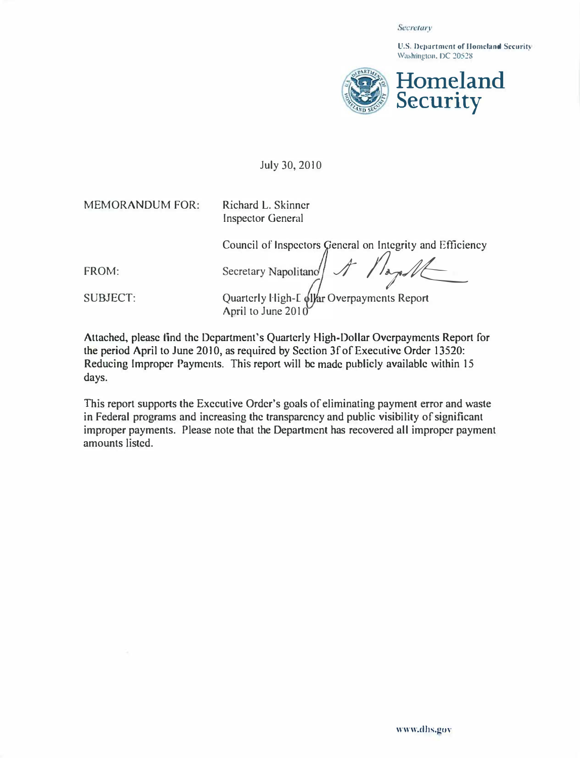## Secretary

U.S. Department of Homeland Security Washington, DC 20528



## July 30, 2010

MEMORANDUM FOR: Richard L. Skinner

Inspector General

Council of Inspectors General on Integrity and Efficiency

 $\sqrt{ }$  $\int$ FROM: Secretary Napolitano

SUBJECT: Quarterly Fligh-L (alfar Overpayments Report April to June 2010

Attached, please find the Department's Quarterly High-Dollar Overpayments Report for the period April to June 2010, as required by Section 3f of Executive Order 13520: Reducing Improper Payments. This report will be made publicly available within 15 days.

This report supports the Executive Order's goals of eliminating payment error and waste in Federal programs and increasing the transparency and public visibility of significant improper payments. Please note that the Department has recovered all improper payment amounts listed.